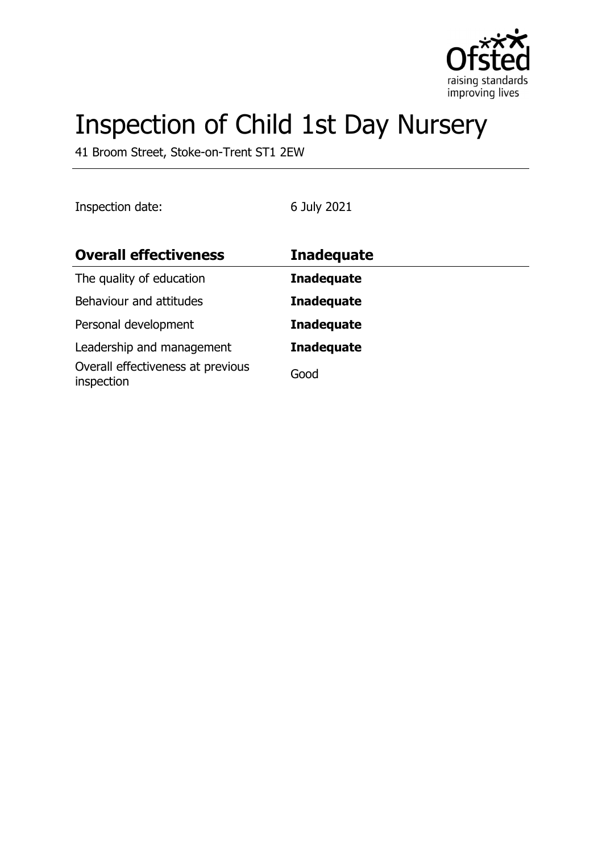

# Inspection of Child 1st Day Nursery

41 Broom Street, Stoke-on-Trent ST1 2EW

Inspection date: 6 July 2021

| <b>Overall effectiveness</b>                    | <b>Inadequate</b> |
|-------------------------------------------------|-------------------|
| The quality of education                        | <b>Inadequate</b> |
| Behaviour and attitudes                         | <b>Inadequate</b> |
| Personal development                            | <b>Inadequate</b> |
| Leadership and management                       | <b>Inadequate</b> |
| Overall effectiveness at previous<br>inspection | Good              |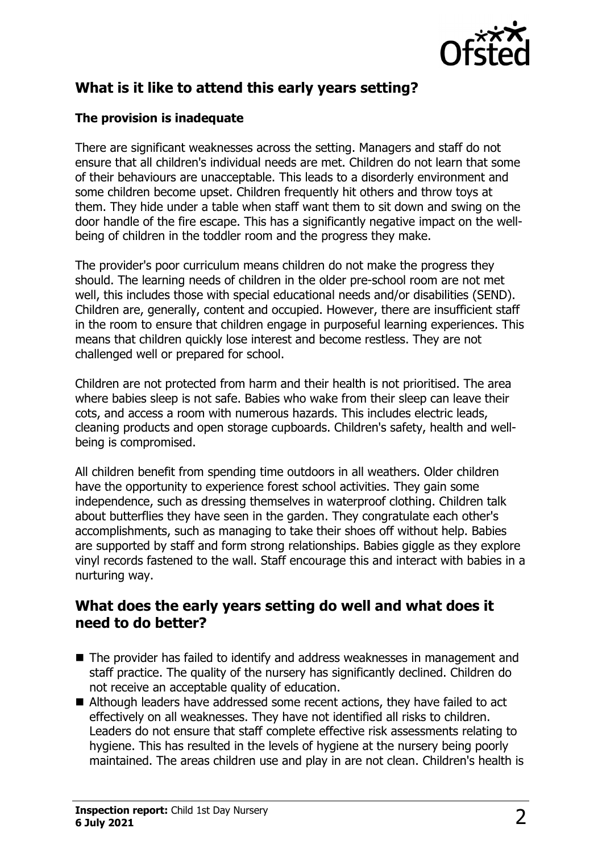

# **What is it like to attend this early years setting?**

#### **The provision is inadequate**

There are significant weaknesses across the setting. Managers and staff do not ensure that all children's individual needs are met. Children do not learn that some of their behaviours are unacceptable. This leads to a disorderly environment and some children become upset. Children frequently hit others and throw toys at them. They hide under a table when staff want them to sit down and swing on the door handle of the fire escape. This has a significantly negative impact on the wellbeing of children in the toddler room and the progress they make.

The provider's poor curriculum means children do not make the progress they should. The learning needs of children in the older pre-school room are not met well, this includes those with special educational needs and/or disabilities (SEND). Children are, generally, content and occupied. However, there are insufficient staff in the room to ensure that children engage in purposeful learning experiences. This means that children quickly lose interest and become restless. They are not challenged well or prepared for school.

Children are not protected from harm and their health is not prioritised. The area where babies sleep is not safe. Babies who wake from their sleep can leave their cots, and access a room with numerous hazards. This includes electric leads, cleaning products and open storage cupboards. Children's safety, health and wellbeing is compromised.

All children benefit from spending time outdoors in all weathers. Older children have the opportunity to experience forest school activities. They gain some independence, such as dressing themselves in waterproof clothing. Children talk about butterflies they have seen in the garden. They congratulate each other's accomplishments, such as managing to take their shoes off without help. Babies are supported by staff and form strong relationships. Babies giggle as they explore vinyl records fastened to the wall. Staff encourage this and interact with babies in a nurturing way.

### **What does the early years setting do well and what does it need to do better?**

- $\blacksquare$  The provider has failed to identify and address weaknesses in management and staff practice. The quality of the nursery has significantly declined. Children do not receive an acceptable quality of education.
- Although leaders have addressed some recent actions, they have failed to act effectively on all weaknesses. They have not identified all risks to children. Leaders do not ensure that staff complete effective risk assessments relating to hygiene. This has resulted in the levels of hygiene at the nursery being poorly maintained. The areas children use and play in are not clean. Children's health is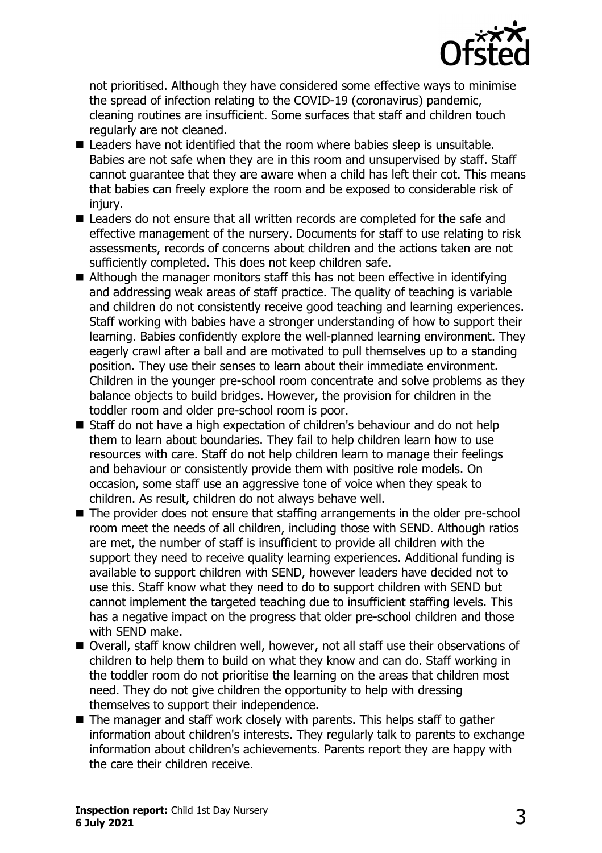

not prioritised. Although they have considered some effective ways to minimise the spread of infection relating to the COVID-19 (coronavirus) pandemic, cleaning routines are insufficient. Some surfaces that staff and children touch regularly are not cleaned.

- $\blacksquare$  Leaders have not identified that the room where babies sleep is unsuitable. Babies are not safe when they are in this room and unsupervised by staff. Staff cannot guarantee that they are aware when a child has left their cot. This means that babies can freely explore the room and be exposed to considerable risk of injury.
- Leaders do not ensure that all written records are completed for the safe and effective management of the nursery. Documents for staff to use relating to risk assessments, records of concerns about children and the actions taken are not sufficiently completed. This does not keep children safe.
- $\blacksquare$  Although the manager monitors staff this has not been effective in identifying and addressing weak areas of staff practice. The quality of teaching is variable and children do not consistently receive good teaching and learning experiences. Staff working with babies have a stronger understanding of how to support their learning. Babies confidently explore the well-planned learning environment. They eagerly crawl after a ball and are motivated to pull themselves up to a standing position. They use their senses to learn about their immediate environment. Children in the younger pre-school room concentrate and solve problems as they balance objects to build bridges. However, the provision for children in the toddler room and older pre-school room is poor.
- Staff do not have a high expectation of children's behaviour and do not help them to learn about boundaries. They fail to help children learn how to use resources with care. Staff do not help children learn to manage their feelings and behaviour or consistently provide them with positive role models. On occasion, some staff use an aggressive tone of voice when they speak to children. As result, children do not always behave well.
- $\blacksquare$  The provider does not ensure that staffing arrangements in the older pre-school room meet the needs of all children, including those with SEND. Although ratios are met, the number of staff is insufficient to provide all children with the support they need to receive quality learning experiences. Additional funding is available to support children with SEND, however leaders have decided not to use this. Staff know what they need to do to support children with SEND but cannot implement the targeted teaching due to insufficient staffing levels. This has a negative impact on the progress that older pre-school children and those with SEND make.
- Overall, staff know children well, however, not all staff use their observations of children to help them to build on what they know and can do. Staff working in the toddler room do not prioritise the learning on the areas that children most need. They do not give children the opportunity to help with dressing themselves to support their independence.
- $\blacksquare$  The manager and staff work closely with parents. This helps staff to gather information about children's interests. They regularly talk to parents to exchange information about children's achievements. Parents report they are happy with the care their children receive.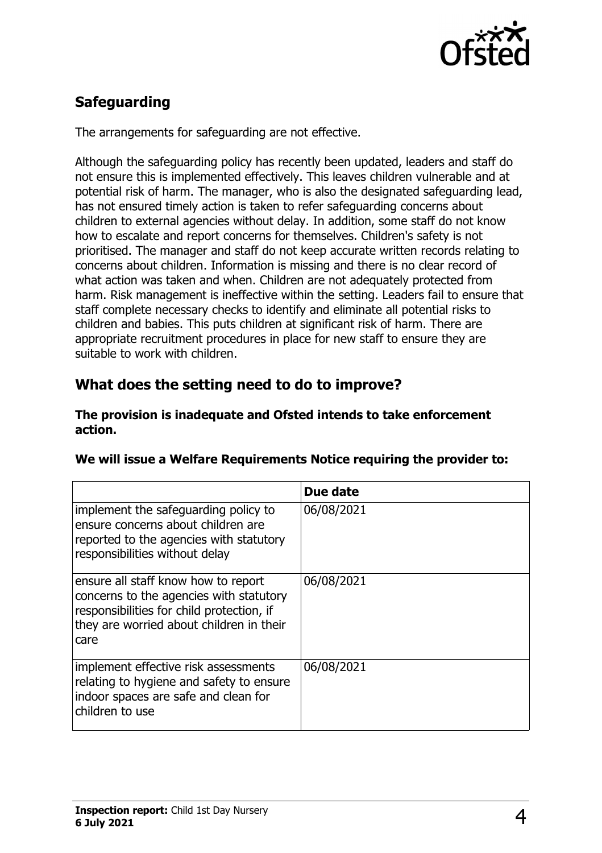

# **Safeguarding**

The arrangements for safeguarding are not effective.

Although the safeguarding policy has recently been updated, leaders and staff do not ensure this is implemented effectively. This leaves children vulnerable and at potential risk of harm. The manager, who is also the designated safeguarding lead, has not ensured timely action is taken to refer safeguarding concerns about children to external agencies without delay. In addition, some staff do not know how to escalate and report concerns for themselves. Children's safety is not prioritised. The manager and staff do not keep accurate written records relating to concerns about children. Information is missing and there is no clear record of what action was taken and when. Children are not adequately protected from harm. Risk management is ineffective within the setting. Leaders fail to ensure that staff complete necessary checks to identify and eliminate all potential risks to children and babies. This puts children at significant risk of harm. There are appropriate recruitment procedures in place for new staff to ensure they are suitable to work with children.

## **What does the setting need to do to improve?**

#### **The provision is inadequate and Ofsted intends to take enforcement action.**

|                                                                                                                                                                                 | Due date   |
|---------------------------------------------------------------------------------------------------------------------------------------------------------------------------------|------------|
| implement the safeguarding policy to<br>ensure concerns about children are<br>reported to the agencies with statutory<br>responsibilities without delay                         | 06/08/2021 |
| ensure all staff know how to report<br>concerns to the agencies with statutory<br>responsibilities for child protection, if<br>they are worried about children in their<br>care | 06/08/2021 |
| implement effective risk assessments<br>relating to hygiene and safety to ensure<br>indoor spaces are safe and clean for<br>children to use                                     | 06/08/2021 |

#### **We will issue a Welfare Requirements Notice requiring the provider to:**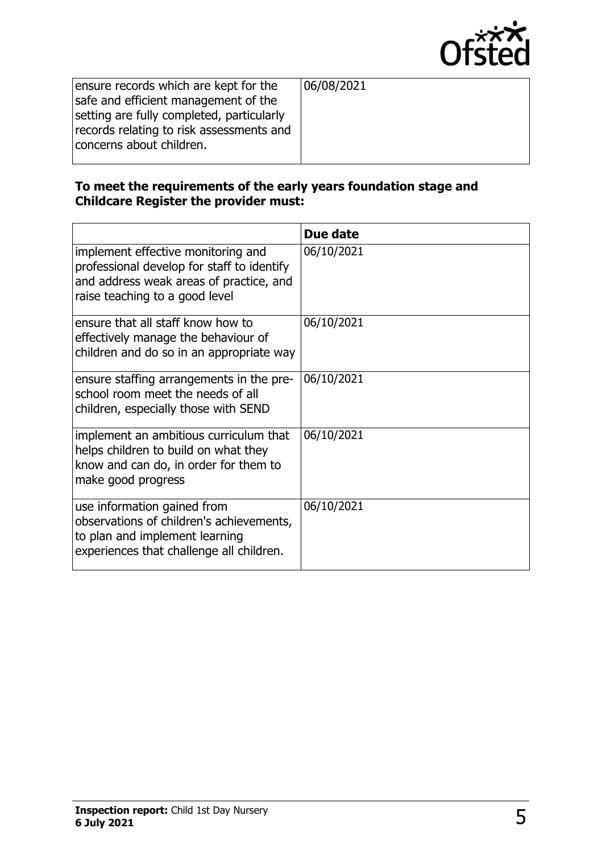

| ensure records which are kept for the<br>safe and efficient management of the<br>setting are fully completed, particularly<br>records relating to risk assessments and<br>concerns about children. | 06/08/2021 |
|----------------------------------------------------------------------------------------------------------------------------------------------------------------------------------------------------|------------|
|                                                                                                                                                                                                    |            |

#### **To meet the requirements of the early years foundation stage and Childcare Register the provider must:**

|                                                                                                                                                               | Due date   |
|---------------------------------------------------------------------------------------------------------------------------------------------------------------|------------|
| implement effective monitoring and<br>professional develop for staff to identify<br>and address weak areas of practice, and<br>raise teaching to a good level | 06/10/2021 |
| ensure that all staff know how to<br>effectively manage the behaviour of<br>children and do so in an appropriate way                                          | 06/10/2021 |
| ensure staffing arrangements in the pre-<br>school room meet the needs of all<br>children, especially those with SEND                                         | 06/10/2021 |
| implement an ambitious curriculum that<br>helps children to build on what they<br>know and can do, in order for them to<br>make good progress                 | 06/10/2021 |
| use information gained from<br>observations of children's achievements,<br>to plan and implement learning<br>experiences that challenge all children.         | 06/10/2021 |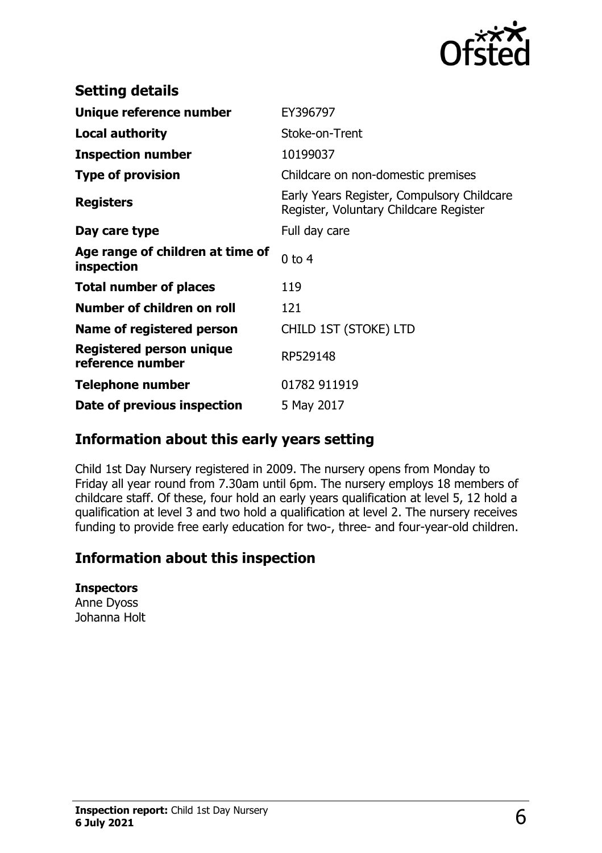

| <b>Setting details</b>                         |                                                                                      |
|------------------------------------------------|--------------------------------------------------------------------------------------|
| Unique reference number                        | EY396797                                                                             |
| <b>Local authority</b>                         | Stoke-on-Trent                                                                       |
| <b>Inspection number</b>                       | 10199037                                                                             |
| <b>Type of provision</b>                       | Childcare on non-domestic premises                                                   |
| <b>Registers</b>                               | Early Years Register, Compulsory Childcare<br>Register, Voluntary Childcare Register |
| Day care type                                  | Full day care                                                                        |
| Age range of children at time of<br>inspection | $0$ to 4                                                                             |
| <b>Total number of places</b>                  | 119                                                                                  |
| Number of children on roll                     | 121                                                                                  |
| Name of registered person                      | CHILD 1ST (STOKE) LTD                                                                |
| Registered person unique<br>reference number   | RP529148                                                                             |
| Telephone number                               | 01782 911919                                                                         |
| Date of previous inspection                    | 5 May 2017                                                                           |

## **Information about this early years setting**

Child 1st Day Nursery registered in 2009. The nursery opens from Monday to Friday all year round from 7.30am until 6pm. The nursery employs 18 members of childcare staff. Of these, four hold an early years qualification at level 5, 12 hold a qualification at level 3 and two hold a qualification at level 2. The nursery receives funding to provide free early education for two-, three- and four-year-old children.

#### **Information about this inspection**

#### **Inspectors**

Anne Dyoss Johanna Holt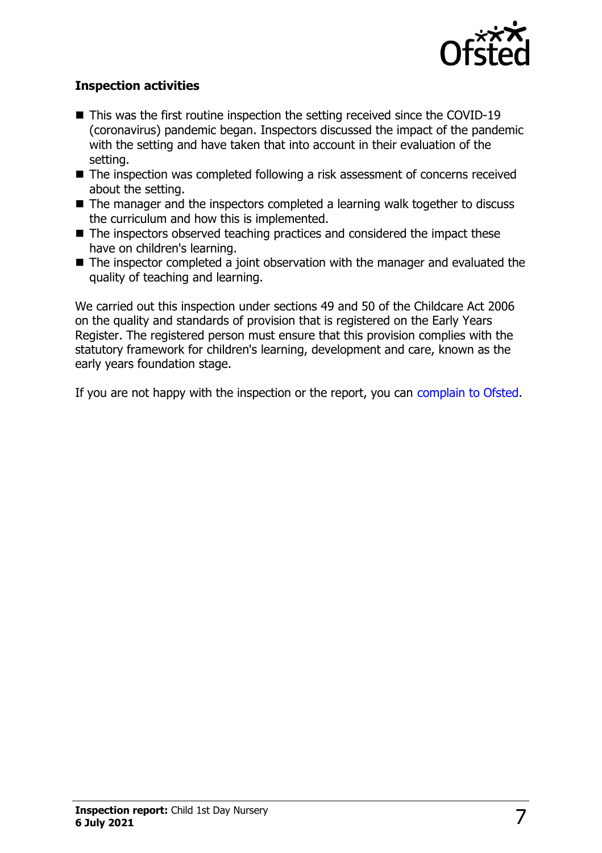

#### **Inspection activities**

- $\blacksquare$  This was the first routine inspection the setting received since the COVID-19 (coronavirus) pandemic began. Inspectors discussed the impact of the pandemic with the setting and have taken that into account in their evaluation of the setting.
- $\blacksquare$  The inspection was completed following a risk assessment of concerns received about the setting.
- $\blacksquare$  The manager and the inspectors completed a learning walk together to discuss the curriculum and how this is implemented.
- $\blacksquare$  The inspectors observed teaching practices and considered the impact these have on children's learning.
- $\blacksquare$  The inspector completed a joint observation with the manager and evaluated the quality of teaching and learning.

We carried out this inspection under sections 49 and 50 of the Childcare Act 2006 on the quality and standards of provision that is registered on the Early Years Register. The registered person must ensure that this provision complies with the statutory framework for children's learning, development and care, known as the early years foundation stage.

If you are not happy with the inspection or the report, you can [complain to Ofsted](http://www.gov.uk/complain-ofsted-report).